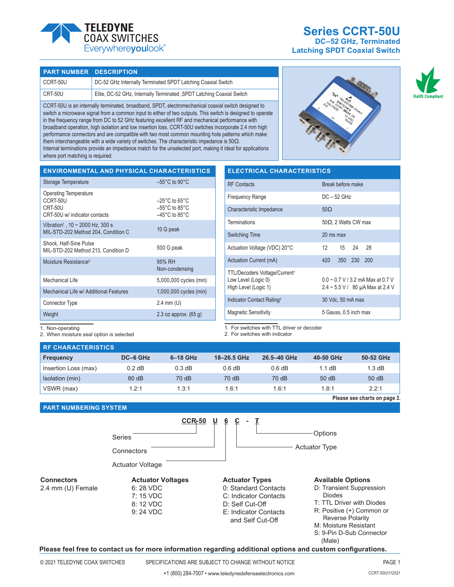

# **Series CCRT-50U DC–52 GHz, Terminated**

**Latching SPDT Coaxial Switch**

# **PART NUMBER DESCRIPTION**

| CCRT-50U | DC-52 GHz Internally Terminated SPDT Latching Coaxial Switch           |
|----------|------------------------------------------------------------------------|
| CRT-50U  | Elite, DC-52 GHz, Internally Terminated , SPDT Latching Coaxial Switch |

CCRT-50U is an internally terminated, broadband, SPDT, electromechanical coaxial switch designed to switch a microwave signal from a common input to either of two outputs. This switch is designed to operate in the frequency range from DC to 52 GHz featuring excellent RF and mechanical performance with broadband operation, high isolation and low insertion loss. CCRT-50U switches incorporate 2.4 mm high performance connectors and are compatible with two most common mounting hole patterns which make them interchangeable with a wide variety of switches. The characteristic impedance is 50Ω. Internal terminations provide an impedance match for the unselected port, making it ideal for applications where port matching is required.





| <b>ENVIRONMENTAL AND PHYSICAL CHARACTERISTICS</b>             |                                                                          | <b>ELECT</b>    |
|---------------------------------------------------------------|--------------------------------------------------------------------------|-----------------|
| Storage Temperature                                           | $-55^{\circ}$ C to 90 $^{\circ}$ C                                       | <b>RF</b> Conta |
| <b>Operating Temperature</b><br>CCRT-50U<br>CRT-50U           | $-25^{\circ}$ C to 65 $^{\circ}$ C<br>$-55^{\circ}$ C to 85 $^{\circ}$ C | Frequenc        |
| CRT-50U w/ indicator contacts                                 | $-45^{\circ}$ C to 85 $^{\circ}$ C                                       | Characte        |
| Vibration <sup>1</sup> , $10 \sim 2000$ Hz, 300 s             | 10 G peak                                                                | Terminati       |
| MIL-STD-202 Method 204, Condition C                           |                                                                          | Switching       |
| Shock, Half-Sine Pulse<br>MIL-STD-202 Method 213, Condition D | 500 G peak                                                               | Actuation       |
| Moisture Resistance <sup>2</sup>                              | 95% RH                                                                   | Actuation       |
|                                                               | Non-condensing                                                           | <b>TTL/Deco</b> |
| Mechanical Life                                               | 5,000,000 cycles (min)                                                   | Low Leve        |
| Mechanical Life w/ Additional Features                        | 1,000,000 cycles (min)                                                   | High Leve       |
| Connector Type                                                | $2.4 \, \text{mm}$ (U)                                                   | Indicator       |
| Weight                                                        | 2.3 oz approx. $(65q)$                                                   | Magnetic        |
|                                                               |                                                                          |                 |

| <b>ELECTRICAL CHARACTERISTICS</b>                                                        |                                                                                 |  |  |  |
|------------------------------------------------------------------------------------------|---------------------------------------------------------------------------------|--|--|--|
| <b>RF</b> Contacts                                                                       | Break before make                                                               |  |  |  |
| <b>Frequency Range</b>                                                                   | $DC - 52$ GHz                                                                   |  |  |  |
| Characteristic Impedance                                                                 | $50\Omega$                                                                      |  |  |  |
| <b>Terminations</b>                                                                      | $50\Omega$ , 2 Watts CW max                                                     |  |  |  |
| <b>Switching Time</b>                                                                    | 20 ms max                                                                       |  |  |  |
| Actuation Voltage (VDC) 20°C                                                             | 15 24<br>28<br>12                                                               |  |  |  |
| Actuation Current (mA)                                                                   | 420<br>350 230 200                                                              |  |  |  |
| TTL/Decoders Voltage/Current <sup>1</sup><br>Low Level (Logic 0)<br>High Level (Logic 1) | $0.0 \sim 0.7$ V / 3.2 mA Max at 0.7 V<br>$2.4 \sim 5.5$ V / 80 µA Max at 2.4 V |  |  |  |
| Indicator Contact Rating <sup>2</sup>                                                    | 30 Vdc, 50 mA max                                                               |  |  |  |
| <b>Magnetic Sensitivity</b>                                                              | 5 Gauss, 0.5 inch max                                                           |  |  |  |

1. Non-operating

2. When moisture seal option is selected

1. For switches with TTL driver or decoder

2. For switches with indicator

| <b>RE CHARACTERISTICS</b> |          |            |             |             |                  |                              |
|---------------------------|----------|------------|-------------|-------------|------------------|------------------------------|
| <b>Frequency</b>          | DC-6 GHz | $6-18$ GHz | 18-26.5 GHz | 26.5-40 GHz | 40-50 GHz        | 50-52 GHz                    |
| Insertion Loss (max)      | $0.2$ dB | 0.3 dB     | 0.6 dB      | 0.6 dB      | $1.1 \text{ dB}$ | 1.3 dB                       |
| Isolation (min)           | 80 dB    | 70 dB      | 70 dB       | 70 dB       | 50 dB            | 50dB                         |
| VSWR (max)                | 1.2:1    | 1.3:1      | 1.6:1       | 1.6:1       | 1.8:1            | 2.2:1                        |
|                           |          |            |             |             |                  | Please see charts on page 3. |

# **PART NUMBERING SYSTEM**



#### **Please feel free to contact us for more information regarding additional options and custom configurations.**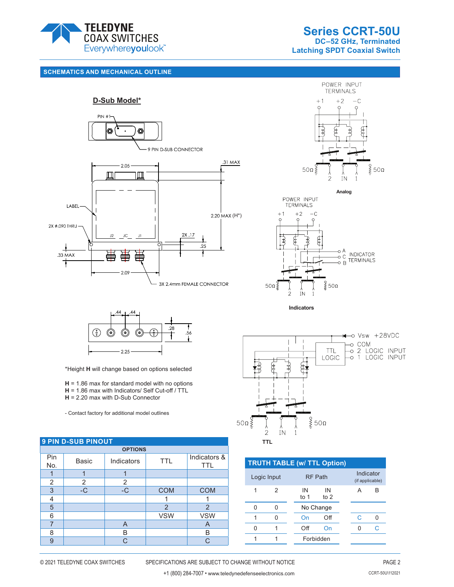





**Analog**





**Indicators**



\*Height **H** will change based on options selected

**H** = 1.86 max for standard model with no options

- **H** = 1.86 max with Indicators/ Self Cut-off / TTL
- **H** = 2.20 max with D-Sub Connector

- Contact factory for additional model outlines

| <b>9 PIN D-SUB PINOUT</b> |       |            |                |                            |  |  |
|---------------------------|-------|------------|----------------|----------------------------|--|--|
| <b>OPTIONS</b>            |       |            |                |                            |  |  |
| Pin<br>No.                | Basic | Indicators | <b>TTL</b>     | Indicators &<br><b>TTL</b> |  |  |
|                           |       |            |                |                            |  |  |
| 2                         | 2     | 2          |                |                            |  |  |
| 3                         | $-C$  | $-C$       | <b>COM</b>     | <b>COM</b>                 |  |  |
| 4                         |       |            |                |                            |  |  |
| 5                         |       |            | $\overline{2}$ | $\overline{2}$             |  |  |
| 6                         |       |            | <b>VSW</b>     | <b>VSW</b>                 |  |  |
| 7                         |       | A          |                | A                          |  |  |
| 8                         |       | B          |                | В                          |  |  |
| 9                         |       | C.         |                | $\cap$                     |  |  |



| <b>TRUTH TABLE (w/ TTL Option)</b> |   |              |                |  |                              |   |
|------------------------------------|---|--------------|----------------|--|------------------------------|---|
| Logic Input                        |   |              | <b>RF Path</b> |  | Indicator<br>(if applicable) |   |
|                                    | 2 | IN<br>to $1$ | IN<br>to $2$   |  | А                            | R |
| U                                  |   |              | No Change      |  |                              |   |
|                                    | N | On           | Off            |  | C                            |   |
| U                                  |   | Off          | On             |  |                              |   |
|                                    |   |              | Forbidden      |  |                              |   |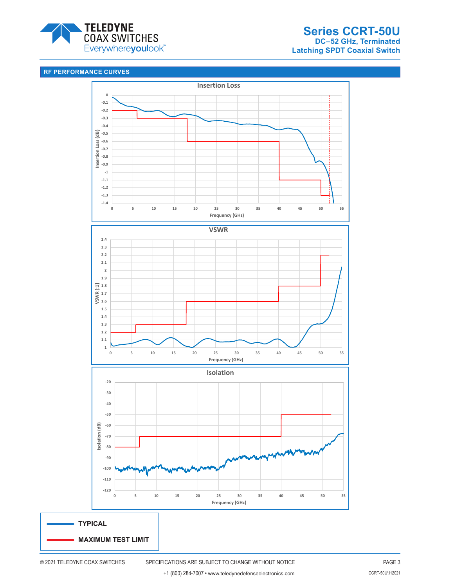

# **RF PERFORMANCE CURVES**

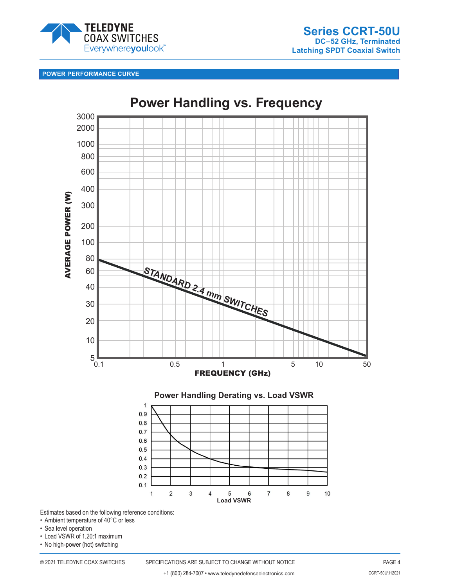

# **POWER PERFORMANCE CURVE**



**Power Handling vs. Frequency**

Estimates based on the following reference conditions:

- Ambient temperature of 40°C or less
- Sea level operation
- Load VSWR of 1.20:1 maximum
- No high-power (hot) switching